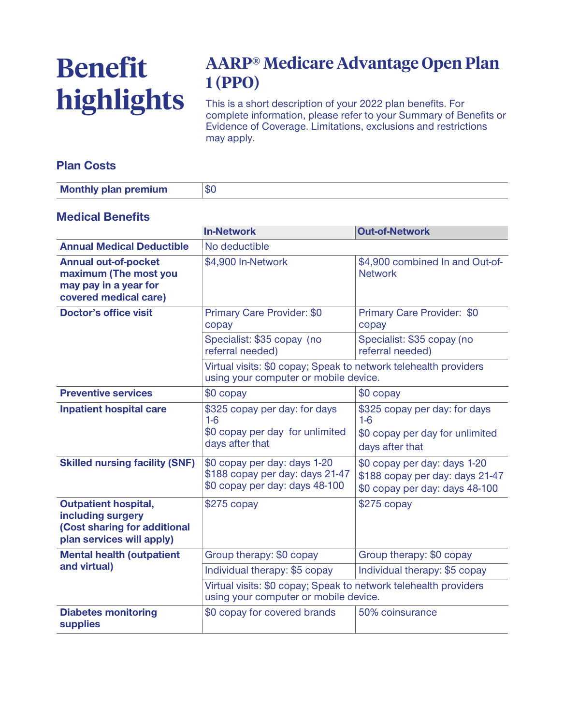# **Benefit highlights**

# **AARP® Medicare Advantage Open Plan 1 (PPO)**

**This is a short description of your 2022 plan benefits. For complete information, please refer to your Summary of Benefits or Evidence of Coverage. Limitations, exclusions and restrictions may apply.**

### **Plan Costs**

| <b>Monthly plan premium</b> | ΦU |
|-----------------------------|----|
|                             |    |

#### **Medical Benefits**

|                                                                                                               | <b>In-Network</b>                                                                                         | <b>Out-of-Network</b>                                                                             |  |
|---------------------------------------------------------------------------------------------------------------|-----------------------------------------------------------------------------------------------------------|---------------------------------------------------------------------------------------------------|--|
| <b>Annual Medical Deductible</b>                                                                              | No deductible                                                                                             |                                                                                                   |  |
| <b>Annual out-of-pocket</b><br>maximum (The most you<br>may pay in a year for<br>covered medical care)        | \$4,900 In-Network                                                                                        | \$4,900 combined In and Out-of-<br><b>Network</b>                                                 |  |
| <b>Doctor's office visit</b>                                                                                  | Primary Care Provider: \$0<br>copay                                                                       | Primary Care Provider: \$0<br>copay                                                               |  |
|                                                                                                               | Specialist: \$35 copay (no<br>referral needed)                                                            | Specialist: \$35 copay (no<br>referral needed)                                                    |  |
|                                                                                                               | Virtual visits: \$0 copay; Speak to network telehealth providers<br>using your computer or mobile device. |                                                                                                   |  |
| <b>Preventive services</b>                                                                                    | \$0 copay                                                                                                 | \$0 copay                                                                                         |  |
| <b>Inpatient hospital care</b>                                                                                | \$325 copay per day: for days<br>$1-6$<br>\$0 copay per day for unlimited<br>days after that              | \$325 copay per day: for days<br>$1-6$<br>\$0 copay per day for unlimited<br>days after that      |  |
| <b>Skilled nursing facility (SNF)</b>                                                                         | \$0 copay per day: days 1-20<br>\$188 copay per day: days 21-47<br>\$0 copay per day: days 48-100         | \$0 copay per day: days 1-20<br>\$188 copay per day: days 21-47<br>\$0 copay per day: days 48-100 |  |
| <b>Outpatient hospital,</b><br>including surgery<br>(Cost sharing for additional<br>plan services will apply) | $$275$ copay                                                                                              | $$275$ copay                                                                                      |  |
| <b>Mental health (outpatient</b>                                                                              | Group therapy: \$0 copay                                                                                  | Group therapy: \$0 copay                                                                          |  |
| and virtual)                                                                                                  | Individual therapy: \$5 copay                                                                             | Individual therapy: \$5 copay                                                                     |  |
|                                                                                                               | Virtual visits: \$0 copay; Speak to network telehealth providers<br>using your computer or mobile device. |                                                                                                   |  |
| <b>Diabetes monitoring</b><br><b>supplies</b>                                                                 | \$0 copay for covered brands                                                                              | 50% coinsurance                                                                                   |  |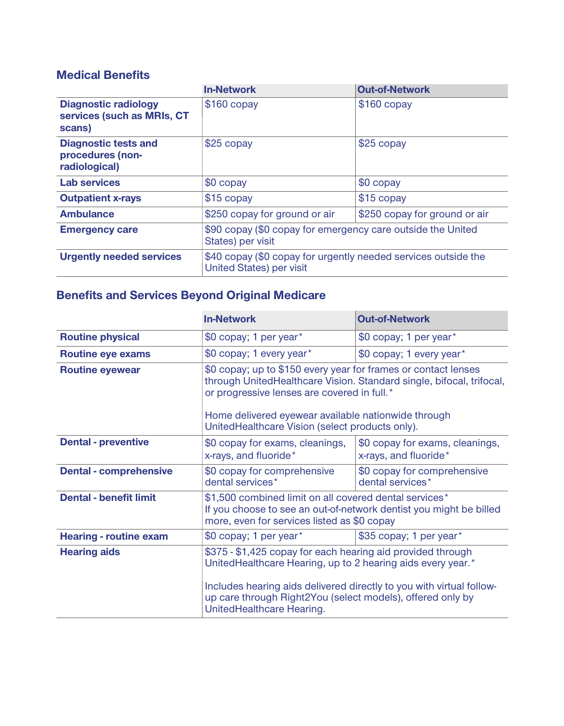## **Medical Benefits**

|                                                                     | <b>In-Network</b>                                                                                 | <b>Out-of-Network</b>         |
|---------------------------------------------------------------------|---------------------------------------------------------------------------------------------------|-------------------------------|
| <b>Diagnostic radiology</b><br>services (such as MRIs, CT<br>scans) | $$160$ copay                                                                                      | $$160$ copay                  |
| <b>Diagnostic tests and</b><br>procedures (non-<br>radiological)    | \$25 copay                                                                                        | \$25 copay                    |
| <b>Lab services</b>                                                 | $$0$ copay                                                                                        | \$0 copay                     |
| <b>Outpatient x-rays</b>                                            | $$15$ copay                                                                                       | \$15 copay                    |
| <b>Ambulance</b>                                                    | \$250 copay for ground or air                                                                     | \$250 copay for ground or air |
| <b>Emergency care</b>                                               | \$90 copay (\$0 copay for emergency care outside the United<br>States) per visit                  |                               |
| <b>Urgently needed services</b>                                     | \$40 copay (\$0 copay for urgently needed services outside the<br><b>United States) per visit</b> |                               |

## **Benefits and Services Beyond Original Medicare**

|                               | <b>In-Network</b>                                                                                                                                                                                                                                                                               | <b>Out-of-Network</b>                                    |
|-------------------------------|-------------------------------------------------------------------------------------------------------------------------------------------------------------------------------------------------------------------------------------------------------------------------------------------------|----------------------------------------------------------|
| <b>Routine physical</b>       | \$0 copay; 1 per year*                                                                                                                                                                                                                                                                          | \$0 copay; 1 per year*                                   |
| <b>Routine eye exams</b>      | \$0 copay; 1 every year*                                                                                                                                                                                                                                                                        | \$0 copay; 1 every year*                                 |
| <b>Routine eyewear</b>        | \$0 copay; up to \$150 every year for frames or contact lenses<br>through UnitedHealthcare Vision. Standard single, bifocal, trifocal,<br>or progressive lenses are covered in full.*<br>Home delivered eyewear available nationwide through<br>UnitedHealthcare Vision (select products only). |                                                          |
| <b>Dental - preventive</b>    | \$0 copay for exams, cleanings,<br>x-rays, and fluoride*                                                                                                                                                                                                                                        | \$0 copay for exams, cleanings,<br>x-rays, and fluoride* |
| <b>Dental - comprehensive</b> | \$0 copay for comprehensive<br>dental services*                                                                                                                                                                                                                                                 | \$0 copay for comprehensive<br>dental services*          |
| <b>Dental - benefit limit</b> | \$1,500 combined limit on all covered dental services*<br>If you choose to see an out-of-network dentist you might be billed<br>more, even for services listed as \$0 copay                                                                                                                     |                                                          |
| <b>Hearing - routine exam</b> | \$0 copay; 1 per year*                                                                                                                                                                                                                                                                          | \$35 copay; 1 per year*                                  |
| <b>Hearing aids</b>           | \$375 - \$1,425 copay for each hearing aid provided through<br>UnitedHealthcare Hearing, up to 2 hearing aids every year.*<br>Includes hearing aids delivered directly to you with virtual follow-<br>up care through Right2You (select models), offered only by<br>UnitedHealthcare Hearing.   |                                                          |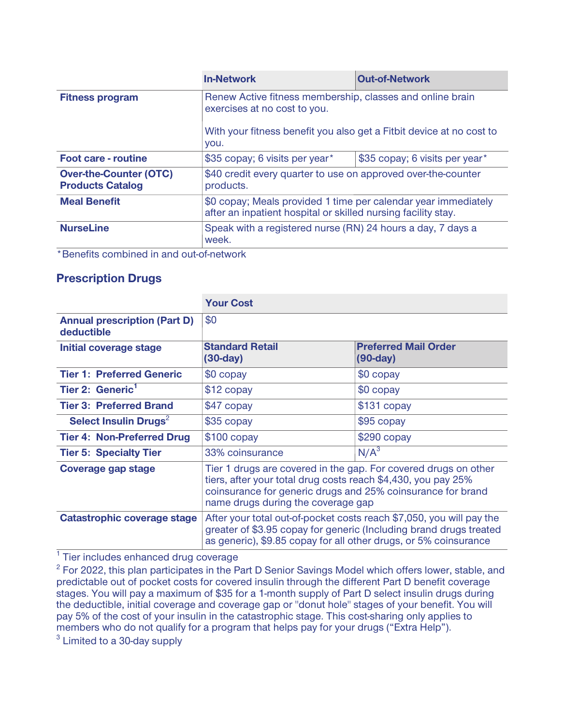|                                                          | <b>In-Network</b>                                                                                                                                                         | <b>Out-of-Network</b>          |
|----------------------------------------------------------|---------------------------------------------------------------------------------------------------------------------------------------------------------------------------|--------------------------------|
| <b>Fitness program</b>                                   | Renew Active fitness membership, classes and online brain<br>exercises at no cost to you.<br>With your fitness benefit you also get a Fitbit device at no cost to<br>you. |                                |
|                                                          |                                                                                                                                                                           |                                |
| <b>Foot care - routine</b>                               | \$35 copay; 6 visits per year*                                                                                                                                            | \$35 copay; 6 visits per year* |
| <b>Over-the-Counter (OTC)</b><br><b>Products Catalog</b> | \$40 credit every quarter to use on approved over-the-counter<br>products.                                                                                                |                                |
| <b>Meal Benefit</b>                                      | \$0 copay; Meals provided 1 time per calendar year immediately<br>after an inpatient hospital or skilled nursing facility stay.                                           |                                |
| <b>NurseLine</b>                                         | Speak with a registered nurse (RN) 24 hours a day, 7 days a<br>week.                                                                                                      |                                |
| * Popofita combined in and out of natural                |                                                                                                                                                                           |                                |

**\*Benefits combined in and out-of-network**

#### **Prescription Drugs**

|                                                   | <b>Your Cost</b>                                                                                                                                                                                                                      |                                           |  |
|---------------------------------------------------|---------------------------------------------------------------------------------------------------------------------------------------------------------------------------------------------------------------------------------------|-------------------------------------------|--|
| <b>Annual prescription (Part D)</b><br>deductible | \$0                                                                                                                                                                                                                                   |                                           |  |
| Initial coverage stage                            | <b>Standard Retail</b><br>$(30-day)$                                                                                                                                                                                                  | <b>Preferred Mail Order</b><br>$(90-day)$ |  |
| <b>Tier 1: Preferred Generic</b>                  | \$0 copay                                                                                                                                                                                                                             | \$0 copay                                 |  |
| Tier 2: Generic <sup>1</sup>                      | \$12 copay                                                                                                                                                                                                                            | \$0 copay                                 |  |
| <b>Tier 3: Preferred Brand</b>                    | \$47 copay                                                                                                                                                                                                                            | $$131$ copay                              |  |
| Select Insulin Drugs <sup>2</sup>                 | \$35 copay                                                                                                                                                                                                                            | \$95 copay                                |  |
| <b>Tier 4: Non-Preferred Drug</b>                 | $$100$ copay                                                                                                                                                                                                                          | \$290 copay                               |  |
| <b>Tier 5: Specialty Tier</b>                     | 33% coinsurance                                                                                                                                                                                                                       | N/A <sup>3</sup>                          |  |
| <b>Coverage gap stage</b>                         | Tier 1 drugs are covered in the gap. For covered drugs on other<br>tiers, after your total drug costs reach \$4,430, you pay 25%<br>coinsurance for generic drugs and 25% coinsurance for brand<br>name drugs during the coverage gap |                                           |  |
| Catastrophic coverage stage                       | After your total out-of-pocket costs reach \$7,050, you will pay the<br>greater of \$3.95 copay for generic (Including brand drugs treated<br>as generic), \$9.85 copay for all other drugs, or 5% coinsurance                        |                                           |  |

**1 Tier includes enhanced drug coverage**

**2 For 2022, this plan participates in the Part D Senior Savings Model which offers lower, stable, and predictable out of pocket costs for covered insulin through the different Part D benefit coverage stages. You will pay a maximum of \$35 for a 1-month supply of Part D select insulin drugs during the deductible, initial coverage and coverage gap or "donut hole" stages of your benefit. You will pay 5% of the cost of your insulin in the catastrophic stage. This cost-sharing only applies to members who do not qualify for a program that helps pay for your drugs ("Extra Help").**

**3 Limited to a 30-day supply**